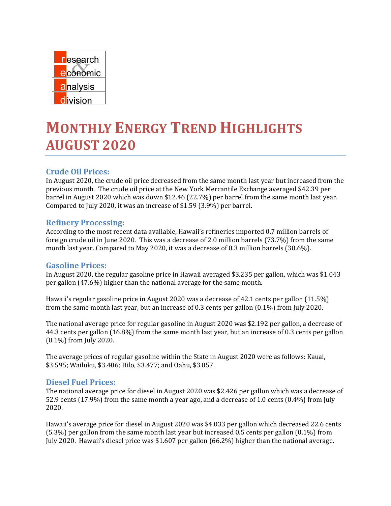

# **MONTHLY ENERGY TREND HIGHLIGHTS AUGUST 2020**

# **Crude Oil Prices:**

In August 2020, the crude oil price decreased from the same month last year but increased from the previous month. The crude oil price at the New York Mercantile Exchange averaged \$42.39 per barrel in August 2020 which was down \$12.46 (22.7%) per barrel from the same month last year. Compared to July 2020, it was an increase of \$1.59 (3.9%) per barrel.

## **Refinery Processing:**

According to the most recent data available, Hawaii's refineries imported 0.7 million barrels of foreign crude oil in June 2020. This was a decrease of 2.0 million barrels (73.7%) from the same month last year. Compared to May 2020, it was a decrease of 0.3 million barrels (30.6%).

## **Gasoline Prices:**

In August 2020, the regular gasoline price in Hawaii averaged \$3.235 per gallon, which was \$1.043 per gallon (47.6%) higher than the national average for the same month.

Hawaii's regular gasoline price in August 2020 was a decrease of 42.1 cents per gallon (11.5%) from the same month last year, but an increase of 0.3 cents per gallon (0.1%) from July 2020.

The national average price for regular gasoline in August 2020 was \$2.192 per gallon, a decrease of 44.3 cents per gallon (16.8%) from the same month last year, but an increase of 0.3 cents per gallon (0.1%) from July 2020.

The average prices of regular gasoline within the State in August 2020 were as follows: Kauai, \$3.595; Wailuku, \$3.486; Hilo, \$3.477; and Oahu, \$3.057.

## **Diesel Fuel Prices:**

The national average price for diesel in August 2020 was \$2.426 per gallon which was a decrease of 52.9 cents (17.9%) from the same month a year ago, and a decrease of 1.0 cents (0.4%) from July 2020.

Hawaii's average price for diesel in August 2020 was \$4.033 per gallon which decreased 22.6 cents (5.3%) per gallon from the same month last year but increased 0.5 cents per gallon (0.1%) from July 2020. Hawaii's diesel price was \$1.607 per gallon (66.2%) higher than the national average.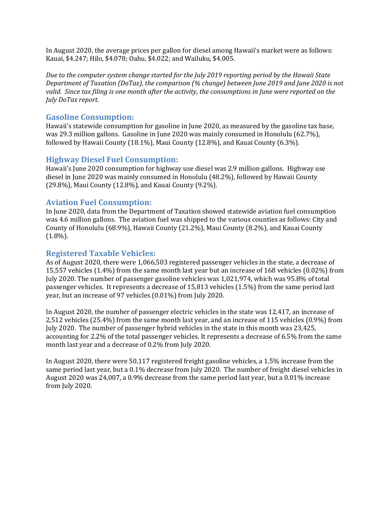In August 2020, the average prices per gallon for diesel among Hawaii's market were as follows: Kauai, \$4.247; Hilo, \$4.078; Oahu, \$4.022; and Wailuku, \$4.005.

*Due to the computer system change started for the July 2019 reporting period by the Hawaii State Department of Taxation (DoTax), the comparison (% change) between June 2019 and June 2020 is not* valid. Since tax filing is one month after the activity, the consumptions in June were reported on the *July DoTax report.*

#### **Gasoline Consumption:**

Hawaii's statewide consumption for gasoline in June 2020, as measured by the gasoline tax base, was 29.3 million gallons. Gasoline in June 2020 was mainly consumed in Honolulu (62.7%), followed by Hawaii County (18.1%), Maui County (12.8%), and Kauai County (6.3%).

### **Highway Diesel Fuel Consumption:**

Hawaii's June 2020 consumption for highway use diesel was 2.9 million gallons. Highway use diesel in June 2020 was mainly consumed in Honolulu (48.2%), followed by Hawaii County (29.8%), Maui County (12.8%), and Kauai County (9.2%).

### **Aviation Fuel Consumption:**

In June 2020, data from the Department of Taxation showed statewide aviation fuel consumption was 4.6 million gallons. The aviation fuel was shipped to the various counties as follows: City and County of Honolulu (68.9%), Hawaii County (21.2%), Maui County (8.2%), and Kauai County  $(1.8\%)$ .

#### **Registered Taxable Vehicles:**

As of August 2020, there were 1,066,503 registered passenger vehicles in the state, a decrease of 15,557 vehicles (1.4%) from the same month last year but an increase of 168 vehicles (0.02%) from July 2020. The number of passenger gasoline vehicles was 1,021,974, which was 95.8% of total passenger vehicles. It represents a decrease of 15,813 vehicles (1.5%) from the same period last year, but an increase of 97 vehicles (0.01%) from July 2020.

In August 2020, the number of passenger electric vehicles in the state was 12,417, an increase of 2,512 vehicles (25.4%) from the same month last year, and an increase of 115 vehicles (0.9%) from July 2020. The number of passenger hybrid vehicles in the state in this month was 23,425, accounting for 2.2% of the total passenger vehicles. It represents a decrease of 6.5% from the same month last year and a decrease of 0.2% from July 2020.

In August 2020, there were 50,117 registered freight gasoline vehicles, a 1.5% increase from the same period last year, but a 0.1% decrease from July 2020. The number of freight diesel vehicles in August 2020 was 24,007, a 0.9% decrease from the same period last year, but a 0.01% increase from July 2020.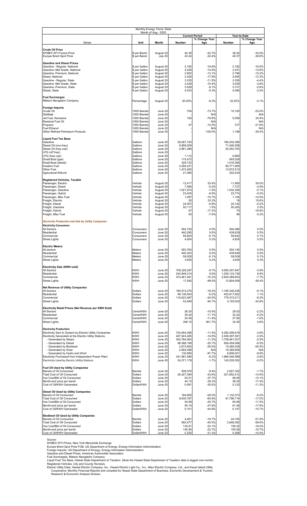| Monthly Energy Trend: State<br>Month of Aug - 2020                                                  |                                |                        |                            |                       |                                |                      |
|-----------------------------------------------------------------------------------------------------|--------------------------------|------------------------|----------------------------|-----------------------|--------------------------------|----------------------|
|                                                                                                     |                                |                        |                            | <b>Current Period</b> |                                | Year-to-Date         |
| Series                                                                                              | Unit                           | Month                  | Number                     | % Change Year<br>Ago  | Number                         | % Change Year<br>Ago |
| <b>Crude Oil Price</b><br><b>NYMEX WTI Future Price</b><br>Europe Brent Spot Price                  | \$ per Barrel<br>\$ per Barrel | August 20<br>July 20   | 42.39<br>43.24             | $-22.7%$<br>$-32.4%$  | 38.22<br>40.37                 | $-33.0%$<br>$-38.6%$ |
| <b>Gasoline and Diesel Prices</b>                                                                   |                                |                        |                            |                       |                                |                      |
| Gasoline - Regular, National<br>Gasoline -Mid Grade, National                                       | \$ per Gallon<br>\$ per Gallon | August 20<br>August 20 | 2.192<br>2.536             | $-16.8%$<br>$-14.5%$  | 2.182<br>2.531                 | $-16.5%$<br>$-13.6%$ |
| Gasoline -Premium, National                                                                         | \$ per Gallon                  | August 20              | 2.802                      | $-13.1%$              | 2.796                          | $-12.2%$             |
| Diesel, National<br>Gasoline - Regular, State                                                       | \$ per Gallon<br>\$ per Gallon | August 20<br>August 20 | 2.426<br>3.235             | $-17.9%$<br>$-11.5%$  | 2.605<br>3.355                 | $-13.3%$<br>$-4.4%$  |
| Gasoline -Mid Grade, State                                                                          | \$ per Gallon                  | August 20              | 3.429                      | $-10.4%$              | 3.535                          | $-3.6%$              |
| Gasoline -Premium, State<br>Diesel, State                                                           | \$ per Gallon<br>\$ per Gallon | August 20<br>August 20 | 3.639<br>4.033             | $-9.1%$<br>$-5.3%$    | 3.731<br>4.090                 | $-2.6%$<br>$-3.4%$   |
| <b>Fuel Surcharges</b><br><b>Matson Navigation Company</b>                                          | Percentage                     | August 20              | 30.00%                     | $-6.3%$               | 32.52%                         | $-2.1%$              |
| <b>Foreign Imports</b>                                                                              |                                |                        |                            |                       |                                |                      |
| Crude Oil                                                                                           | 1000 Barrels                   | June 20                | 704                        | $-73.7%$              | 10,183                         | $-23.0%$             |
| <b>Distillate</b><br>Jet Fuel, Kerosene                                                             | 1000 Barrels<br>1000 Barrels   | June 20<br>June 20     | 150                        | N/A<br>$-79.8%$       | 5,059                          | N/A<br>24.4%         |
| Residual Fuel Oil                                                                                   | 1000 Barrels<br>1000 Barrels   | June 20                |                            | N/A                   |                                | N/A                  |
| Propane<br><b>Fuel Ethanol</b>                                                                      | 1000 Barrels                   | June 20<br>June 20     | 47                         | $-14.5%$<br>N/A       | 377                            | $-21.8%$<br>N/A      |
| Other Refined Petroleum Products                                                                    | 1000 Barrels                   | June 20                |                            | $-100.0%$             | 1,198                          | $-39.4%$             |
| <b>Liquid Fuel Tax Base</b><br>Gasoline                                                             | Gallons                        | June 20                | 29,287,720                 |                       | 185,242,286                    |                      |
| Diesel Oil (non-hwy)                                                                                | Gallons                        | June 20                | 9,859,029                  |                       | 71,040,558                     |                      |
| Diesel Oil (hwy use)<br>LPG (off hwy)                                                               | Gallons<br>Gallons             | June 20<br>June 20     | 2,861,288                  |                       | 20,453,763                     |                      |
| LPG (hwy use)                                                                                       | Gallons                        | June 20                | 1,112                      |                       | 6,865                          |                      |
| Small Boat (gas)                                                                                    | Gallons                        | June 20                | 115,472                    |                       | 693,528                        |                      |
| Small Boat (diesel)<br><b>Aviation Fuel</b>                                                         | Gallons<br>Gallons             | June 20<br>June 20     | 329,732<br>4,556,231       |                       | 1,516,385<br>80,771,965        |                      |
| Other Fuel                                                                                          | Gallons                        | June 20                | 1,472,492                  |                       | 12,872,512                     |                      |
| Agricultural Refund                                                                                 | Gallons                        | June 20                | 21,080                     |                       | 202,434                        |                      |
| <b>Registered Vehicles, Taxable</b><br>Passenger, Electric                                          | Vehicle                        | August 20              | 12,417                     | 25.4%                 | 11,900                         | 29.5%                |
| Passenger, Diesel                                                                                   | Vehicle                        | August 20              | 7,590                      | $-5.2%$               | 7,727                          | $-4.9%$              |
| Passenger, Gasoline                                                                                 | Vehicle<br>Vehicle             | August 20              | 1,021,974                  | $-1.5%$<br>$-6.5%$    | 1,032,306<br>23,774            | $-0.1%$<br>$-5.2%$   |
| Passenger, Hybrid<br>Passenger, Misc Fuel                                                           | Vehicle                        | August 20<br>August 20 | 23,425<br>1,097            | $-15.7%$              | 1,100                          | $-14.5%$             |
| Freight, Electric                                                                                   | Vehicle                        | August 20              | 20                         | 33.3%                 | 18                             | 15.6%                |
| Freight, Diesel<br>Freight, Gasoline                                                                | Vehicle<br>Vehicle             | August 20<br>August 20 | 24,007<br>50,117           | $-0.9%$<br>1.5%       | 24,142<br>50,263               | $-0.2%$<br>2.5%      |
| Freight, Hybrid                                                                                     | Vehicle                        | August 20              | 67                         | $-17.3%$              | 70                             | $-16.8%$             |
| Freight, Misc Fuel                                                                                  | Vehicle                        | August 20              | 93                         | $-7.9%$               | 96                             | $-5.2%$              |
| <b>Electricity Production and Sale by Utility Companies</b>                                         |                                |                        |                            |                       |                                |                      |
| <b>Electricity Consumers</b><br>All Sectors                                                         | Consumers                      | June 20                | 504,724                    | 0.5%                  | 504,086                        | 0.5%                 |
| Residential                                                                                         | Consumers                      | June 20                | 440,295                    | 0.6%                  | 439,639                        | 0.5%                 |
| Commercial<br><b>Street Lights</b>                                                                  | Consumers<br>Consumers         | June 20<br>June 20     | 59,825<br>4,604            | $-0.1%$<br>0.3%       | 59,842<br>4,605                | 0.1%<br>0.5%         |
|                                                                                                     |                                |                        |                            |                       |                                |                      |
| <b>Electric Meters</b><br>All sectors                                                               | Meters                         | June 20                | 503,764                    | 0.5%                  | 503,140                        | 0.5%                 |
| Residential                                                                                         | Meters                         | June 20                | 440,303                    | 0.6%                  | 439,646                        | 0.5%                 |
| Commercial<br><b>Street Lights</b>                                                                  | Meters<br>Meters               | June 20<br>June 20     | 59,526<br>3,935            | $-0.1%$<br>0.2%       | 59,558<br>3,936                | 0.1%<br>0.3%         |
|                                                                                                     |                                |                        |                            |                       |                                |                      |
| <b>Electricity Sale (KWH sold)</b><br>All Sectors                                                   | <b>KWH</b>                     | June 20                | 709.328.297                | $-9.7%$               | 4,083,307,947                  | $-3.9%$              |
| Residential                                                                                         | <b>KWH</b>                     | June 20                | 234,849,214                | 5.6%                  | 1,250,133,736                  | 6.6%                 |
| Commercial<br><b>Street Lights</b>                                                                  | <b>KWH</b><br><b>KWH</b>       | June 20<br>June 20     | 474,461,491<br>17,592      | $-15.3%$<br>$-99.5%$  | 2,820,369,653<br>12,804,558    | $-7.7%$<br>$-38.4%$  |
| <b>Net Revenue of Utility Companies</b>                                                             |                                |                        |                            |                       |                                |                      |
| All Sectors                                                                                         | Dollars                        | June 20                | 185,814,270                | $-19.2%$              | 1,185,345,436                  | $-6.1%$              |
| Residential                                                                                         | Dollars                        | June 20                | 69,136,934                 | $-6.2%$               | 402,817,922                    | 1.1%<br>$-9.2%$      |
| Commercial<br><b>Street Lights</b>                                                                  | Dollars<br>Dollars             | June 20<br>June 20     | 116,623,487<br>53,849      | $-24.9%$<br>$-94.7%$  | 778,372,011<br>4,155,503       | $-34.8%$             |
| Electricity Retail Prices (Net Revenue per KWH Sold)                                                |                                |                        |                            |                       |                                |                      |
| All Sectors                                                                                         | Cents/KWh                      | June 20                | 26.20                      | $-10.5%$              | 29.03                          | $-2.2%$              |
| Residential<br>Commercial                                                                           | Cents/KWh<br>Cents/KWh         | June 20<br>June 20     | 29.44<br>24.58             | $-11.1%$<br>$-11.4%$  | 32.22<br>27.60                 | $-5.2%$<br>$-1.6%$   |
| <b>Street Lights</b>                                                                                | Cents/KWh                      | June 20                | 306.10                     | 901.7%                | 32.45                          | 5.8%                 |
| <b>Electricity Production</b>                                                                       |                                |                        |                            |                       |                                |                      |
| Electricity Sent to System by Electric Utility Companies                                            | <b>KWH</b>                     | June 20                | 724,654,296                | $-11.4%$              | 4,282,408,619                  | $-3.6%$              |
| Electricity Generated at the Electric Utility Stations<br>- Generated by Steam                      | <b>KWH</b><br><b>KWH</b>       | June 20<br>June 20     | 407,043,485<br>304,784,063 | $-14.9%$<br>$-11.3%$  | 2,458,397,581<br>1,759,461,527 | $-3.5%$<br>$-2.5%$   |
| - Generated by Diesel                                                                               | <b>KWH</b>                     | June 20                | 96,568,198                 | $-25.7%$              | 658,459,086                    | $-6.5%$              |
| - Generated by Biodiesel<br>- Generated by Solar                                                    | <b>KWH</b><br><b>KWH</b>       | June 20<br>June 20     | 2,873,863<br>2,684,496     | $-20.6%$<br>N/A       | 15,480,039<br>18,388,908       | $-50.5%$<br>N/A      |
| - Generated by Hydro and Wind                                                                       | <b>KWH</b>                     | June 20                | 132,865                    | $-87.7%$              | 6,608,021                      | $-9.6%$              |
| Electricity Purchased from Independent Power Plant<br>Electricity Used by Electric Utility Stations | <b>KWH</b><br><b>KWH</b>       | June 20<br>June 20     | 341,981,990<br>24,371,179  | $-6.2%$<br>$-1.7%$    | 1,966,046,589<br>142,035,552   | $-3.6%$<br>$-0.2%$   |
|                                                                                                     |                                |                        |                            |                       |                                |                      |
| Fuel Oil Used by Utility Companies<br>Barrels of Oil Consumed                                       | <b>Barrels</b>                 | June 20                | 508,076                    | $-9.4%$               | 2,927,325                      | $-1.7%$              |
| <b>Total Cost of Oil Consumed</b>                                                                   | Dollars                        | June 20                | 26,427,394                 | $-43.6%$              | 201,852,412                    | $-14.6%$             |
| Ave Cost/Bbl of Oil Consumed<br>Month-end price per barrel                                          | Dollars<br>Dollars             | June 20<br>June 20     | 52.01<br>44.15             | $-37.7%$<br>$-39.3%$  | 68.95<br>58.50                 | $-13.1%$<br>$-17.4%$ |
| Cost of Oil/KWH Generated                                                                           | Dollar/KWh                     | June 20                | 0.091                      | $-35.6%$              | 0.122                          | $-11.2%$             |
| Diesel Oil Used by Utility Companies                                                                |                                |                        |                            |                       |                                |                      |
| Barrels of Oil Consumed<br><b>Total Cost of Oil Consumed</b>                                        | <b>Barrels</b><br>Dollars      | June 20<br>June 20     | 164,605<br>9,035,787       | $-28.0%$<br>$-60.9%$  | 1,133,373<br>91,796,719        | $-6.2%$<br>$-17.0%$  |
| Ave Cost/Bbl of Oil Consumed                                                                        | Dollars                        | June 20                | 54.89                      | $-45.7%$              | 80.99                          | $-11.5%$             |
| Month-end price per barrel<br>Cost of Oil/KWH Generated                                             | Dollars<br>Dollar/KWh          | June 20<br>June 20     | 55.15<br>0.101             | -47.6%<br>$-44.9%$    | 81.06<br>0.147                 | $-17.9%$<br>$-10.7%$ |
|                                                                                                     |                                |                        |                            |                       |                                |                      |
| <b>Biodiesel Oil Used by Utility Companies</b><br>Barrels of Oil Consumed                           | <b>Barrels</b>                 | June 20                | 4,461                      | $-19.7%$              | 24,155                         | $-51.9%$             |
| <b>Total Cost of Oil Consumed</b>                                                                   | Dollars                        | June 20                | 592,477                    | $-45.5%$              | 3,848,362                      | -59.6%               |
| Ave Cost/Bbl of Oil Consumed<br>Month-end price per barrel                                          | Dollars<br>Dollars             | June 20<br>June 20     | 132.81<br>145.90           | $-32.1%$<br>$-22.7%$  | 159.32<br>150.06               | $-16.0%$<br>$-10.7%$ |
| Cost of Oil/KWH Generated                                                                           | Dollar/KWh                     | June 20                | 0.220                      | $-31.3%$              | 0.268                          | $-14.4%$             |

Source:<br>
NYMEX WTI Prices, New York Mercantile Exchange<br>
Europe Brent Spot Price FOB, US Department of Energy, Energy Information Administration<br>
Foreign Imports, US Department of Energy, Energy Information Administration<br>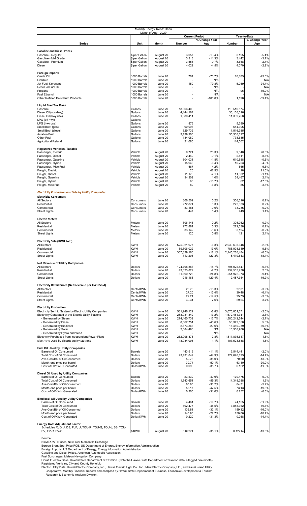| Monthly Energy Trend: Oahu<br>Month of Aug - 2020                                           |                                |                        |                            |                                        |                                |                               |  |
|---------------------------------------------------------------------------------------------|--------------------------------|------------------------|----------------------------|----------------------------------------|--------------------------------|-------------------------------|--|
|                                                                                             |                                |                        |                            | <b>Current Period</b><br>% Change Year |                                | Year-to-Date<br>% Change Year |  |
| <b>Series</b>                                                                               | Unit                           | Month                  | Number                     | Ago                                    | Number                         | Ago                           |  |
| <b>Gasoline and Diesel Prices</b>                                                           |                                |                        |                            |                                        |                                |                               |  |
| Gasoline - Regular<br>Gasoline - Mid Grade                                                  | \$ per Gallon<br>\$ per Gallon | August 20<br>August 20 | 3.057<br>3.318             | $-13.4%$<br>$-11.3%$                   | 3.195<br>3.442                 | $-5.4%$<br>$-3.7%$            |  |
| Gasoline - Premium                                                                          | \$ per Gallon                  | August 20              | 3.553                      | $-9.7%$                                | 3.658                          | $-2.4%$                       |  |
| Diesel                                                                                      | \$ per Gallon                  | August 20              | 4.022                      | $-4.5%$                                | 4.070                          | $-2.9%$                       |  |
| Foreign Imports                                                                             |                                |                        |                            |                                        |                                |                               |  |
| Crude Oil<br><b>Distillate</b>                                                              | 1000 Barrels<br>1000 Barrels   | June 20<br>June 20     | 704                        | $-73.7%$<br>N/A                        | 10,183                         | $-23.0%$<br>N/A               |  |
| Jet Fuel, Kerosene                                                                          | 1000 Barrels                   | June 20                | 150                        | $-79.8%$                               | 5,059                          | 24.4%                         |  |
| Residual Fuel Oil<br>Propane                                                                | 1000 Barrels<br>1000 Barrels   | June 20<br>June 20     |                            | N/A<br>N/A                             | 96                             | N/A<br>$-15.0%$               |  |
| <b>Fuel Ethanol</b><br>Other Refined Petroleum Products                                     | 1000 Barrels<br>1000 Barrels   | June 20<br>June 20     |                            | N/A<br>$-100.0%$                       | 1,198                          | N/A<br>$-39.4%$               |  |
|                                                                                             |                                |                        |                            |                                        |                                |                               |  |
| Liquid Fuel Tax Base<br>Gasoline                                                            | Gallons                        | June 20                | 18,366,409                 |                                        | 113,510,574                    |                               |  |
| Diesel Oil (non-hwy)<br>Diesel Oil (hwy use)                                                | Gallons<br>Gallons             | June 20<br>June 20     | 4,444,167<br>1,380,411     |                                        | 30,160,016<br>11,369,758       |                               |  |
| LPG (off hwy)                                                                               | Gallons                        |                        |                            |                                        |                                |                               |  |
| LPG (hwy use)<br>Small Boat (gas)                                                           | Gallons<br>Gallons             | June 20<br>June 20     | 876<br>90,096              |                                        | 5,389<br>514,305               |                               |  |
| Small Boat (diesel)                                                                         | Gallons                        | June 20                | 329,732                    |                                        | 1,516,385                      |                               |  |
| Aviation Fuel<br>Other Fuel                                                                 | Gallons<br>Gallons             | June 20<br>June 20     | 3,139,903<br>134,080       |                                        | 35,330,827<br>778,685          |                               |  |
| Agricultural Refund                                                                         | Gallons                        | June 20                | 21,080                     |                                        | 114,502                        |                               |  |
| Registered Vehicles, Taxable                                                                |                                |                        |                            |                                        |                                |                               |  |
| Passenger, Electric<br>Passenger, Diesel                                                    | Vehicle<br>Vehicle             | August 20<br>August 20 | 9,724<br>2,440             | 23.3%<br>$-9.1%$                       | 9,340<br>2,511                 | 28.3%<br>$-8.5%$              |  |
| Passenger, Gasoline                                                                         | Vehicle                        | August 20              | 604,031                    | $-1.8%$                                | 610,558                        | $-0.6%$                       |  |
| Passenger, Hybrid<br>Passenger, Misc Fuel                                                   | Vehicle<br>Vehicle             | August 20<br>August 20 | 15,946<br>567              | $-6.4%$<br>4.2%                        | 16,263<br>565                  | $-4.9%$<br>6.3%               |  |
| Freight, Electric<br>Freight, Diesel                                                        | Vehicle<br>Vehicle             | August 20<br>August 20 | 20<br>11,173               | 42.9%<br>$-2.1%$                       | 18<br>11,302                   | 21.6%<br>$-1.1%$              |  |
| Freight, Gasoline                                                                           | Vehicle                        | August 20              | 34,309                     | 1.0%                                   | 34,467                         | 2.1%                          |  |
| Freight, Hybrid<br>Freight, Misc Fuel                                                       | Vehicle<br>Vehicle             | August 20<br>August 20 | 60<br>82                   | $-16.7%$<br>$-6.8%$                    | 62<br>85                       | $-17.5%$<br>$-3.8%$           |  |
|                                                                                             |                                |                        |                            |                                        |                                |                               |  |
| <b>Electricity Production and Sale by Utility Companies</b><br><b>Electricity Consumers</b> |                                |                        |                            |                                        |                                |                               |  |
| All Sectors                                                                                 | Consumers                      | June 20                | 306,502                    | 0.2%                                   | 306,316                        | 0.2%                          |  |
| Residential<br>Commercial                                                                   | Consumers<br>Consumers         | June 20<br>June 20     | 272,874<br>33,181          | 0.3%<br>$-0.6%$                        | 272,633<br>33,235              | 0.2%<br>$-0.2%$               |  |
| <b>Street Lights</b>                                                                        | Consumers                      | June 20                | 447                        | 0.4%                                   | 449                            | 1.4%                          |  |
| <b>Electric Meters</b>                                                                      |                                |                        |                            |                                        |                                |                               |  |
| All Sectors<br>Residential                                                                  | Meters<br>Meters               | June 20<br>June 20     | 306.143                    | 0.2%<br>0.3%                           | 305.952                        | 0.2%<br>0.2%                  |  |
| Commercial                                                                                  | Meters                         | June 20                | 272,881<br>33,142          | $-0.6%$                                | 272,638<br>33,194              | $-0.2%$                       |  |
| <b>Street Lights</b>                                                                        | Meters                         | June 20                | 120                        | 0.8%                                   | 121                            | 2.1%                          |  |
| <b>Electricity Sale (KWH Sold)</b>                                                          |                                |                        |                            |                                        |                                |                               |  |
| <b>All Sectors</b><br>Residential                                                           | <b>KWH</b><br><b>KWH</b>       | June 20<br>June 20     | 525,921,977<br>159,306,022 | $-6.3%$<br>13.0%                       | 2.939.698.646<br>785,998,619   | $-2.5%$<br>9.6%               |  |
| Commercial                                                                                  | <b>KWH</b>                     | June 20                | 367,329,160                | $-12.1%$                               | 2,145,280,484                  | $-6.0%$                       |  |
| <b>Street Lights</b>                                                                        | <b>KWH</b>                     | June 20                | $-713,205$                 | $-127.3%$                              | 8,419,543                      | $-48.1%$                      |  |
| <b>Net Revenue of Utility Companies</b><br>All Sectors                                      | Dollars                        | June 20                | 124,798,386                | $-18.7%$                               | 794,025,547                    | $-6.3%$                       |  |
| Residential                                                                                 | Dollars                        | June 20                | 43.323.829                 | $-2.2%$                                | 239,565,230                    | 2.6%                          |  |
| Commercial<br><b>Street Lights</b>                                                          | Dollars<br>Dollars             | June 20<br>June 20     | 81,690,723<br>$-216,166$   | $-24.8%$<br>$-129.4%$                  | 551,972,973<br>2,487,344       | $-9.4%$<br>$-46.2%$           |  |
|                                                                                             |                                |                        |                            |                                        |                                |                               |  |
| Electricity Retail Prices (Net Revenue per KWH Sold)<br>All Sectors                         | Cents/KWh                      | June 20                | 23.73                      | $-13.3%$                               | 27.01                          | $-3.9%$                       |  |
| Residential<br>Commercial                                                                   | Cents/KWh<br>Cents/KWh         | June 20<br>June 20     | 27.20<br>22.24             | $-13.4%$<br>$-14.5%$                   | 30.48<br>25.73                 | $-6.4%$<br>$-3.6%$            |  |
| <b>Street Lights</b>                                                                        | Cents/KWh                      | June 20                | 30.31                      | 7.6%                                   | 29.54                          | 3.7%                          |  |
| <b>Electricity Production</b>                                                               |                                |                        |                            |                                        |                                |                               |  |
| Electricity Sent to System by Electric Utility Companies                                    | <b>KWH</b>                     | June 20                | 531,246,122                | $-8.8%$                                | 3,076,801,371                  | $-2.0%$                       |  |
| Electricity Generated at the Electric Utility Stations<br>- Generated by Steam              | <b>KWH</b><br><b>KWH</b>       | June 20<br>June 20     | 288,081,842<br>274,460,732 | $-13.2%$<br>$-12.7%$                   | 1,672,454,341<br>1,580,242,544 | $-2.3%$<br>$-2.7%$            |  |
| - Generated by Diesel                                                                       | <b>KWH</b>                     | June 20                | 8,062,751                  | $-40.6%$                               | 58,342,850                     | 5.6%                          |  |
| - Generated by Biodiesel<br>- Generated by Solar                                            | <b>KWH</b><br><b>KWH</b>       | June 20<br>June 20     | 2,873,863<br>2,684,496     | $-20.6%$<br>N/A                        | 15,480,039<br>18,388,908       | $-50.5%$<br>N/A               |  |
| - Generated by Hydro and Wind<br>Electricity Purchased from Independent Power Plant         | <b>KWH</b><br><b>KWH</b>       | June 20<br>June 20     | 262,098,375                | N/A<br>$-2.8%$                         | 1,511,875,617                  | N/A<br>$-1.5%$                |  |
| <b>Electricity Used by Electric Utility Stations</b>                                        | <b>KWH</b>                     | June 20                | 18,934,095                 | 1.1%                                   | 107,528,588                    | 1.5%                          |  |
| <b>Fuel Oil Used by Utility Companies</b>                                                   |                                |                        |                            |                                        |                                |                               |  |
| Barrels of Oil Consumed                                                                     | Barrels                        | June 20                | 443,916                    | $-11.1%$                               | 2,544,441                      | $-2.0%$                       |  |
| Total Cost of Oil Consumed<br>Ave Cost/Bbl of Oil Consumed                                  | Dollars<br>Dollars             | June 20<br>June 20     | 23,431,049<br>52.78        | $-44.9%$<br>$-38.0%$                   | 179,628,123<br>70.60           | $-14.7%$<br>$-13.0%$          |  |
| Month-end price per barrel<br>Cost of Oil/KWH Generated                                     | Dollars<br>Dollar/KWh          | June 20<br>June 20     | 39.74<br>0.090             | $-50.1%$<br>$-35.7%$                   | 63.10<br>0.122                 | $-20.0%$<br>$-11.0%$          |  |
|                                                                                             |                                |                        |                            |                                        |                                |                               |  |
| Diesel Oil Used by Utility Companies<br>Barrels of Oil Consumed                             | <b>Barrels</b>                 | June 20                | 23,532                     | $-40.9%$                               | 170,175                        | 6.9%                          |  |
| <b>Total Cost of Oil Consumed</b>                                                           | Dollars                        | June 20                | 1,543,651                  | $-59.3%$                               | 14,348,288                     | 1.3%                          |  |
| Ave Cost/Bbl of Oil Consumed<br>Month-end price per barrel                                  | Dollars<br>Dollars             | June 20<br>June 20     | 65.60<br>55.17             | $-31.2%$<br>$-42.5%$                   | 84.31<br>73.13                 | $-5.2%$<br>$-19.8%$           |  |
| Cost of Oil/KWH Generated                                                                   | Dollar/KWh                     | June 20                | 0.200                      | $-31.0%$                               | 0.252                          | $-6.8%$                       |  |
| <b>Biodiesel Oil Used by Utility Companies</b>                                              |                                |                        |                            |                                        |                                |                               |  |
| Barrels of Oil Consumed<br><b>Total Cost of Oil Consumed</b>                                | <b>Barrels</b><br>Dollars      | June 20<br>June 20     | 4,461<br>592,477           | $-19.7%$<br>$-45.5%$                   | 24,155<br>3,848,362            | $-51.9%$<br>$-59.6%$          |  |
| Ave Cost/Bbl of Oil Consumed                                                                | Dollars                        | June 20                | 132.81                     | $-32.1%$                               | 159.32                         | $-16.0%$                      |  |
| Month-end price per barrel<br>Cost of Oil/KWH Generated                                     | Dollars<br>Dollar/KWh          | June 20<br>June 20     | 145.90<br>0.220            | $-22.7%$<br>$-31.3%$                   | 150.06<br>0.268                | $-10.7%$<br>$-14.4%$          |  |
| <b>Energy Cost Adjustment Factor</b>                                                        |                                |                        |                            |                                        |                                |                               |  |
| Schedules R, G, J, DS, P, F, U, TOU-R, TOU-G, TOU-J, SS, TOU-                               |                                |                        |                            |                                        |                                |                               |  |
| EV, EV-R, EV-C                                                                              | \$/KWH                         | August 20              | 0.09274                    | $-35.1%$                               | 0.12214                        | $-13.3%$                      |  |

Source:<br>NYMEX WTI Prices, New York Mercantile Exchange<br>Europe Brent Spot Price FOB, US Department of Energy, Energy Information Administration<br>Foreign Imports, US Department of Energy, Energy Information Administration<br>Fue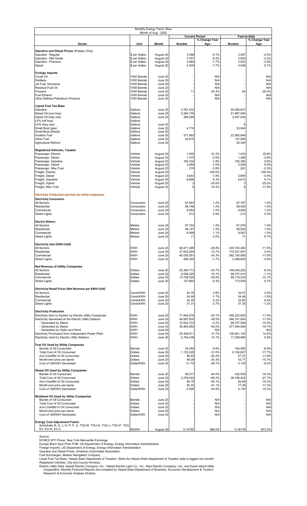| Monthly Energy Trend: Maui<br>Month of Aug - 2020                                                      |                                  |                        |                          |                       |                            |                      |  |
|--------------------------------------------------------------------------------------------------------|----------------------------------|------------------------|--------------------------|-----------------------|----------------------------|----------------------|--|
|                                                                                                        |                                  |                        |                          | <b>Current Period</b> |                            | Year-to-Date         |  |
| <b>Series</b>                                                                                          | Unit                             | Month                  | Number                   | % Change Year<br>Ago  | Number                     | % Change Year<br>Ago |  |
| Gasoline and Diesel Prices (Wailuku Only)                                                              |                                  |                        |                          |                       |                            |                      |  |
| Gasoline - Regular                                                                                     | \$ per Gallon                    | August 20              | 3.486                    | $-9.1%$               | 3.587                      | $-4.0%$              |  |
| Gasoline - Mid Grade<br>Gasoline - Premium                                                             | \$ per Gallon<br>\$ per Gallon   | August 20<br>August 20 | 3.707<br>3.860           | $-8.3%$<br>$-7.7%$    | 3.803<br>3.923             | $-3.2%$<br>$-3.0%$   |  |
| <b>Diesel</b>                                                                                          | \$ per Gallon                    | August 20              | 4.005                    | $-7.7%$               | 4.048                      | $-5.7%$              |  |
| <b>Foreign Imports</b>                                                                                 |                                  |                        |                          |                       |                            |                      |  |
| Crude Oil<br><b>Distillate</b>                                                                         | 1000 Barrels<br>1000 Barrels     | June 20<br>June 20     |                          | N/A<br>N/A            |                            | N/A<br>N/A           |  |
| Jet Fuel, Kerosene<br>Residual Fuel Oil                                                                | 1000 Barrels<br>1000 Barrels     | June 20<br>June 20     |                          | N/A<br>N/A            |                            | N/A<br>N/A           |  |
| Propane                                                                                                | 1000 Barrels                     | June 20                | 11                       | $-35.3%$              | 84                         | $-26.3%$             |  |
| <b>Fuel Ethanol</b><br>Other Refined Petroleum Products                                                | 1000 Barrels<br>1000 Barrels     | June 20<br>June 20     |                          | N/A<br>N/A            |                            | N/A<br>N/A           |  |
|                                                                                                        |                                  |                        |                          |                       |                            |                      |  |
| <b>Liquid Fuel Tax Base</b><br>Gasoline                                                                | Gallons                          | June 20                | 3,761,432                |                       | 25,360,837                 |                      |  |
| Diesel Oil (non-hwy)<br>Diesel Oil (hwy use)                                                           | Gallons<br>Gallons               | June 20<br>June 20     | 2,264,749<br>366,268     |                       | 21,967,560<br>2,447,636    |                      |  |
| LPG (off hwy)                                                                                          | Gallons                          |                        |                          |                       |                            |                      |  |
| LPG (hwy use)<br>Small Boat (gas)                                                                      | Gallons<br>Gallons               | June 20<br>June 20     | 4,716                    |                       | 8<br>32,644                |                      |  |
| Small Boat (diesel)                                                                                    | Gallons                          | June 20<br>June 20     | 371,983                  |                       | 23,565,846                 |                      |  |
| <b>Aviation Fuel</b><br>Other Fuel                                                                     | Gallons<br>Gallons               | June 20                | 22,676                   |                       | 137,564                    |                      |  |
| Agricultural Refund                                                                                    | Gallons                          | June 20                |                          |                       | 25,345                     |                      |  |
| <b>Registered Vehicles, Taxable</b>                                                                    | Vehicle                          | August 20              | 1,500                    | 31.2%                 |                            | 30.6%                |  |
| Passenger, Electric<br>Passenger, Diesel                                                               | Vehicle                          | August 20              | 1,375                    | $-2.8%$               | 1,433<br>1,384             | $-3.8%$              |  |
| Passenger, Gasoline<br>Passenger, Hybrid                                                               | Vehicle<br>Vehicle               | August 20<br>August 20 | 160,334<br>3,460         | $-1.8%$<br>$-7.0%$    | 162,382<br>3,459           | 0.6%<br>$-5.5%$      |  |
| Passenger, Misc Fuel                                                                                   | Vehicle                          | August 20              | 279                      | $-3.8%$               | 281                        | $-2.0%$              |  |
| Freight, Electric<br>Freight, Diesel                                                                   | Vehicle<br>Vehicle               | August 20<br>August 20 | 3,643                    | $-100.0%$<br>$-1.8%$  | 3,665                      | $-100.0%$<br>$-0.4%$ |  |
| Freight, Gasoline<br>Freight, Hybrid                                                                   | Vehicle<br>Vehicle               | August 20<br>August 20 | 6,666<br>3               | 6.3%<br>$-25.0%$      | 6,613<br>3                 | 6.1%<br>$-25.0%$     |  |
| Freight, Misc Fuel                                                                                     | Vehicle                          | August 20              | 6                        | $-14.3%$              | 6                          | $-17.9%$             |  |
| <b>Electricity Production and Sale by Utility Companies</b>                                            |                                  |                        |                          |                       |                            |                      |  |
| <b>Electricity Consumers</b>                                                                           |                                  |                        |                          |                       |                            |                      |  |
| All Sectors<br>Residential                                                                             | Consumers<br>Consumers           | June 20<br>June 20     | 67,943<br>58,146         | 1.2%<br>1.2%          | 67,797<br>58,000           | 1.0%<br>1.0%         |  |
| Commercial                                                                                             | Consumers                        | June 20                | 9,584                    | 1.0%                  | 9,585                      | 1.3%                 |  |
| <b>Street Lights</b>                                                                                   | Consumers                        | June 20                | 213                      | 0.9%                  | 213                        | 0.2%                 |  |
| <b>Electric Meters</b><br>All Sectors                                                                  | Meters                           | June 20                | 67,724                   | 1.2%                  | 67,579                     | 1.0%                 |  |
| Residential                                                                                            | Meters                           | June 20                | 58,147                   | 1.2%                  | 58,002                     | 1.0%                 |  |
| Commercial<br><b>Street Lights</b>                                                                     | Meters<br>Meters                 | June 20<br>June 20     | 9,566<br>11              | 1.1%<br>0.0%          | 9,567<br>11                | 1.3%<br>$-5.7%$      |  |
|                                                                                                        |                                  |                        |                          |                       |                            |                      |  |
| <b>Electricity Sale (KWH Sold)</b><br>All Sectors                                                      | <b>KWH</b>                       | June 20                | 68,071,490               | $-26.8%$              | 435, 102, 262              | $-11.5%$             |  |
| Residential<br>Commercial                                                                              | KWH<br><b>KWH</b>                | June 20<br>June 20     | 27,632,594<br>40,030,551 | $-12.7%$<br>$-34.3%$  | 170,531,50.<br>262,100,955 | 0.4%<br>$-17.9%$     |  |
| <b>Street Lights</b>                                                                                   | <b>KWH</b>                       | June 20                | 408,345                  | $-1.7%$               | 2,469,800                  | $-4.6%$              |  |
| <b>Net Revenue of Utility Companies</b>                                                                |                                  |                        |                          |                       |                            |                      |  |
| All Sectors<br>Residential                                                                             | Dollars<br>Dollars               | June 20<br>June 20     | 23,384,713<br>9,528,325  | $-24.7%$<br>$-14.1%$  | 148,249,252<br>58,757,013  | $-8.4%$<br>$-1.1%$   |  |
| Commercial                                                                                             | <b>Dollars</b>                   | June 20                | 13,728,526               | $-30.8%$              | 88,719,234                 | $-12.7%$             |  |
| <b>Street Lights</b>                                                                                   | Dollars                          | June 20                | 127,862                  | $-5.3%$               | 773,005                    | $-5.7%$              |  |
| Electricity Retail Prices (Net Revenue per KWH Sold)<br>All Sectors                                    |                                  |                        |                          |                       |                            | 3.5%                 |  |
| Residential                                                                                            | Cents/KWh<br>Cents/KWh           | June 20<br>June 20     | 34.35<br>34.48           | 2.8%<br>$-1.7%$       | 34.07<br>34.46             | $-1.5%$              |  |
| Commercial<br><b>Street Lights</b>                                                                     | Cents/KWh<br>Cents/KWh           | June 20<br>June 20     | 34.30<br>31.31           | 5.3%<br>$-3.7%$       | 33.85<br>31.30             | 6.4%<br>$-1.2%$      |  |
|                                                                                                        |                                  |                        |                          |                       |                            |                      |  |
| <b>Electricity Production</b><br>Electricity Sent to System by Electric Utility Companies              | <b>KWH</b>                       | June 20                | 71,842,078               | $-25.1%$              | 456,222,893                | $-11.5%$             |  |
| Electricity Generated at the Electric Utility Stations<br>- Generated by Steam                         | <b>KWH</b><br><b>KWH</b>         | June 20<br>June 20     | 49,087,605<br>10,622,723 | $-38.5%$<br>$-4.2%$   | 346,741,654<br>69,737,069  | $-17.9%$<br>$-10.0%$ |  |
| - Generated by Diesel                                                                                  | <b>KWH</b>                       | June 20                | 38,464,882               | $-44.0%$              | 277,004,585                | $-19.7%$             |  |
| - Generated by Hydro and Wind<br>Electricity Purchased from Independent Power Plant                    | <b>KWH</b><br><b>KWH</b>         | June 20<br>June 20     | 25,458,911               | N/A<br>31.7%          | 126,841,105                | N/A<br>14.0%         |  |
| Electricity Used by Electric Utility Stations                                                          | <b>KWH</b>                       | June 20                | 2,704,438                | $-14.1%$              | 17,359,866                 | $-5.9%$              |  |
| Fuel Oil Used by Utility Companies                                                                     |                                  |                        |                          |                       |                            |                      |  |
| Barrels of Oil Consumed<br>Total Cost of Oil Consumed                                                  | Barrels<br>Dollars               | June 20<br>June 20     | 24,360<br>1,135,226      | $-0.9%$<br>$-31.0%$   | 160,560<br>9,194,607       | $-6.9%$<br>$-17.7%$  |  |
| Ave Cost/Bbl of Oil Consumed<br>Month-end price per barrel                                             | <b>Dollars</b><br><b>Dollars</b> | June 20<br>June 20     | 46.60<br>46.09           | $-30.4%$<br>$-30.3%$  | 57.27<br>53.77             | $-11.6%$<br>$-15.7%$ |  |
| Cost of Oil/KWH Generated                                                                              | Dollar/KWh                       | June 20                | 0.110                    | $-26.7%$              | 0.130                      | $-8.2%$              |  |
| Diesel Oil Used by Utility Companies                                                                   |                                  |                        |                          |                       |                            |                      |  |
| Barrels of Oil Consumed<br><b>Total Cost of Oil Consumed</b>                                           | <b>Barrels</b><br>Dollars        | June 20<br>June 20     | 59,517<br>3,379,242      | $-44.0%$<br>$-69.3%$  | 432,505<br>36, 195, 422    | $-19.3%$<br>$-27.7%$ |  |
| Ave Cost/Bbl of Oil Consumed                                                                           | Dollars                          | June 20                | 56.78                    | $-45.1%$              | 83.69                      | $-10.4%$             |  |
| Month-end price per barrel<br>Cost of Oil/KWH Generated                                                | <b>Dollars</b><br>Dollar/KWh     | June 20<br>June 20     | 55.52<br>0.090           | $-41.1%$<br>$-43.8%$  | 77.29<br>0.130             | $-17.3%$<br>$-10.3%$ |  |
|                                                                                                        |                                  |                        |                          |                       |                            |                      |  |
| <b>Biodiesel Oil Used by Utility Companies</b><br>Barrels of Oil Consumed                              | Barrels                          | June 20                |                          | N/A                   |                            | N/A                  |  |
| Total Cost of Oil Consumed<br>Ave Cost/Bbl of Oil Consumed                                             | Dollars<br><b>Dollars</b>        | June 20<br>June 20     |                          | N/A<br>N/A            |                            | N/A<br>N/A           |  |
| Month-end price per barrel                                                                             | Dollars                          | June 20                |                          | N/A                   |                            | N/A                  |  |
| Cost of Oil/KWH Generated                                                                              | Dollar/KWh                       | June 20                |                          | N/A                   |                            | N/A                  |  |
| <b>Energy Cost Adjustment Factor</b><br>Schedules R, G, J, H, P, F, U, TOU-R, TOU-G, TOU-J, TOU-P, TOU |                                  |                        |                          |                       |                            |                      |  |
| EV, EV-R, EV-C                                                                                         | \$/KWH                           | August 20              | 0.13780                  | 369.0%                | 0.16178                    | -973.5%              |  |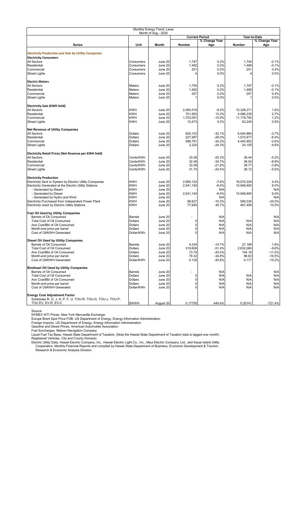| Monthly Energy Trend: Lanai                                                                        |                        |                     |                |                       |                |                    |
|----------------------------------------------------------------------------------------------------|------------------------|---------------------|----------------|-----------------------|----------------|--------------------|
|                                                                                                    |                        | Month of Aug - 2020 |                | <b>Current Period</b> |                | Year-to-Date       |
|                                                                                                    |                        |                     |                | % Change Year         |                | % Change Year      |
| Series                                                                                             | Unit                   | Month               | <b>Number</b>  | Ago                   | Number         | Ago                |
|                                                                                                    |                        |                     |                |                       |                |                    |
| <b>Electricity Production and Sale by Utility Companies</b>                                        |                        |                     |                |                       |                |                    |
| <b>Electricity Consumers</b>                                                                       |                        |                     |                |                       |                |                    |
| All Sectors                                                                                        | Consumers              | June 20             | 1,747          | 0.2%                  | 1,744          | $-0.1%$            |
| Residential                                                                                        | Consumers              | June 20             | 1,492          | 0.2%                  | 1,489          | $-0.1%$            |
| Commercial                                                                                         | Consumers              | June 20             | 251            | 0.0%                  | 251            | 0.4%               |
| <b>Street Lights</b>                                                                               | Consumers              | June 20             | 4              | 0.0%                  | 4              | 0.0%               |
|                                                                                                    |                        |                     |                |                       |                |                    |
| <b>Electric Meters</b>                                                                             |                        |                     |                |                       |                |                    |
| All Sectors                                                                                        | Meters                 | June 20             | 1,750          | 0.2%                  | 1,747          | $-0.1%$            |
| Residential<br>Commercial                                                                          | <b>Meters</b>          | June 20             | 1,492<br>257   | 0.2%<br>0.0%          | 1,489<br>257   | $-0.1%$<br>0.4%    |
|                                                                                                    | Meters                 | June 20             |                |                       |                |                    |
| <b>Street Lights</b>                                                                               | Meters                 | June 20             |                | 0.0%                  | 1              | 0.0%               |
| <b>Electricity Sale (KWH Sold)</b>                                                                 |                        |                     |                |                       |                |                    |
| All Sectors                                                                                        | <b>KWH</b>             | June 20             | 2,465,516      | $-9.2%$               | 15,328,271     | 1.6%               |
| Residential                                                                                        | <b>KWH</b>             | June 20             | 701,952        | 13.3%                 | 4,086,239      | 2.7%               |
| Commercial                                                                                         | <b>KWH</b>             | June 20             | 1,753,091      | $-15.9%$              | 11,178,792     | 1.2%               |
| <b>Street Lights</b>                                                                               | <b>KWH</b>             | June 20             | 10,473         | 0.2%                  | 63,240         | 0.9%               |
| <b>Net Revenue of Utility Companies</b>                                                            |                        |                     |                |                       |                |                    |
| All Sectors                                                                                        | Dollars                | June 20             | 820,103        | $-32.1%$              | 6,044,884      | $-3.7%$            |
| Residential                                                                                        | Dollars                | June 20             | 227,997        | $-26.0%$              | 1,574,877      | $-6.4%$            |
| Commercial                                                                                         | <b>Dollars</b>         | June 20             | 588,781        | $-34.2%$              | 4.445.902      | $-2.6%$            |
| <b>Street Lights</b>                                                                               | Dollars                | June 20             | 3,325          | $-24.3%$              | 24,105         | $-4.8%$            |
|                                                                                                    |                        |                     |                |                       |                |                    |
| Electricity Retail Prices (Net Revenue per KWH Sold)                                               |                        |                     |                |                       |                |                    |
| All Sectors                                                                                        | Cents/KWh              | June 20             | 33.26          | $-25.3%$              | 39.44          | $-5.2%$            |
| Residential                                                                                        | Cents/KWh              | June 20             | 32.48          | $-34.7%$              | 38.54          | $-8.9%$            |
| Commercial<br><b>Street Lights</b>                                                                 | Cents/KWh<br>Cents/KWh | June 20<br>June 20  | 33.59<br>31.75 | $-21.8%$<br>$-24.5%$  | 39.77<br>38.12 | $-3.8%$<br>$-5.6%$ |
|                                                                                                    |                        |                     |                |                       |                |                    |
| <b>Electricity Production</b>                                                                      |                        |                     |                |                       |                |                    |
| Electricity Sent to System by Electric Utility Companies                                           | <b>KWH</b>             | June 20             | 2,560,122      | $-7.6%$               | 16,074,229     | 4.4%               |
| Electricity Generated at the Electric Utility Stations                                             | <b>KWH</b>             | June 20             | 2,541,140      | $-6.4%$               | 15,946,600     | 6.0%               |
| - Generated by Steam                                                                               | <b>KWH</b>             | June 20             |                | N/A                   |                | N/A                |
| - Generated by Diesel                                                                              | <b>KWH</b>             | June 20             | 2,541,140      | $-6.4%$               | 15,946,600     | 6.0%               |
| - Generated by Hydro and Wind                                                                      | <b>KWH</b>             | June 20             |                | N/A                   |                | N/A                |
| Electricity Purchased from Independent Power Plant                                                 | <b>KWH</b>             | June 20             | 96,627         | $-10.3%$              | 595,035        | $-24.5%$           |
| Electricity Used by Electric Utility Stations                                                      | <b>KWH</b>             | June 20             | 77,645         | 45.7%                 | 467,406        | 10.5%              |
| <b>Fuel Oil Used by Utility Companies</b>                                                          |                        |                     |                |                       |                |                    |
| Barrels of Oil Consumed                                                                            | <b>Barrels</b>         | June 20             |                | N/A                   |                | N/A                |
| <b>Total Cost of Oil Consumed</b>                                                                  | Dollars                | June 20             | 0              | N/A                   | N/A            | N/A                |
| Ave Cost/Bbl of Oil Consumed                                                                       | Dollars                | June 20             | 0              | N/A                   | N/A            | N/A                |
| Month-end price per barrel                                                                         | Dollars                | June 20             | 0              | N/A                   | N/A            | N/A                |
| Cost of Oil/KWH Generated                                                                          | Dollar/KWh             | June 20             | 0              | N/A                   | N/A            | N/A                |
| Diesel Oil Used by Utility Companies                                                               |                        |                     |                |                       |                |                    |
| Barrels of Oil Consumed                                                                            | <b>Barrels</b>         | June 20             | 4,334          | $-14.7%$              | 27,189         | 1.6%               |
| <b>Total Cost of Oil Consumed</b>                                                                  | Dollars                | June 20             | 319,608        | $-51.4%$              | 2,832,060      | $-9.6%$            |
| Ave Cost/Bbl of Oil Consumed                                                                       | Dollars                | June 20             | 13.14          | -43.0%                | 104.16         | $-11.0%$           |
| Month-end price per barrel                                                                         | <b>Dollars</b>         | June 20             | 79.32          | $-34.8%$              | 98.83          | $-16.5%$           |
| Cost of Oil/KWH Generated                                                                          | Dollar/KWh             | June 20             | 0.130          | $-45.8%$              | 0.177          | $-15.2%$           |
|                                                                                                    |                        |                     |                |                       |                |                    |
| <b>Biodiesel Oil Used by Utility Companies</b><br>Barrels of Oil Consumed                          | <b>Barrels</b>         | June 20             | ÷,             | N/A                   |                | N/A                |
| <b>Total Cost of Oil Consumed</b>                                                                  | <b>Dollars</b>         | June 20             | 0              | N/A                   | N/A            | N/A                |
| Ave Cost/Bbl of Oil Consumed                                                                       | <b>Dollars</b>         | June 20             | 0              | N/A                   | N/A            | N/A                |
| Month-end price per barrel                                                                         | <b>Dollars</b>         | June 20             | 0              | N/A                   | N/A            | N/A                |
| Cost of Oil/KWH Generated                                                                          | Dollar/KWh             | June 20             | 0              | N/A                   | N/A            | N/A                |
|                                                                                                    |                        |                     |                |                       |                |                    |
| <b>Energy Cost Adjustment Factor</b><br>Schedules R, G, J, H, P, F, U, TOU-R, TOU-G, TOU-J, TOU-P, |                        |                     |                |                       |                |                    |
| TOU EV, EV-R, EV-C                                                                                 | \$/KWH                 | August 20           | 0.17755        | 449.4%                | 0.20141        | $-721.4%$          |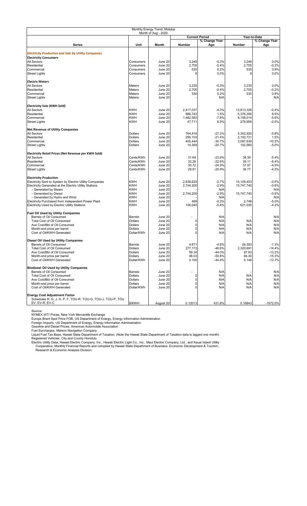| Monthly Energy Trend: Molokai                               |                        |                     |                |                       |                |                 |
|-------------------------------------------------------------|------------------------|---------------------|----------------|-----------------------|----------------|-----------------|
|                                                             |                        | Month of Aug - 2020 |                | <b>Current Period</b> |                | Year-to-Date    |
|                                                             |                        |                     |                | % Change Year         |                | % Change Year   |
| Series                                                      | Unit                   | Month               | <b>Number</b>  | Ago                   | Number         | Ago             |
|                                                             |                        |                     |                |                       |                |                 |
| <b>Electricity Production and Sale by Utility Companies</b> |                        |                     |                |                       |                |                 |
| <b>Electricity Consumers</b>                                |                        |                     |                |                       |                |                 |
| All Sectors                                                 | Consumers              | June 20             | 3,249          | $-0.3%$               | 3,248          | 0.0%            |
| Residential                                                 | Consumers              | June 20             | 2,705          | $-0.4%$               | 2,705          | $-0.2%$         |
| Commercial<br><b>Street Lights</b>                          | Consumers<br>Consumers | June 20<br>June 20  | 535<br>9       | 0.2%<br>0.0%          | 535<br>9       | 0.8%<br>0.0%    |
|                                                             |                        |                     |                |                       |                |                 |
| <b>Electric Meters</b><br>All Sectors                       | <b>Meters</b>          |                     |                | $-0.3%$               |                |                 |
| Residential                                                 | Meters                 | June 20<br>June 20  | 3,235<br>2,705 | $-0.4%$               | 3,235<br>2,705 | 0.0%<br>$-0.2%$ |
|                                                             |                        |                     | 530            | 0.2%                  | 530            | 0.8%            |
| Commercial                                                  | Meters                 | June 20             |                |                       |                |                 |
| <b>Street Lights</b>                                        | <b>Meters</b>          | June 20             |                | N/A                   |                | N/A             |
| <b>Electricity Sale (KWH Sold)</b>                          |                        |                     |                |                       |                |                 |
| All Sectors                                                 | <b>KWH</b>             | June 20             | 2,417,037      | $-4.3%$               | 13,813,326     | $-0.4%$         |
| Residential                                                 | <b>KWH</b>             | June 20             | 886,743        | 1.5%                  | 5,376,356      | 8.5%            |
| Commercial                                                  | <b>KWH</b>             | June 20             | 1,482,583      | $-7.8%$               | 8,158,014      | $-5.6%$         |
| <b>Street Lights</b>                                        | <b>KWH</b>             | June 20             | 47,711         | 6.9%                  | 278,956        | $-0.5%$         |
| <b>Net Revenue of Utility Companies</b>                     |                        |                     |                |                       |                |                 |
| All Sectors                                                 | <b>Dollars</b>         | June 20             | 764,816        | $-27.2%$              | 5,302,920      | $-5.8%$         |
| Residential                                                 | Dollars                | June 20             | 295,103        | $-21.4%$              | 2,102,721      | 1.5%            |
| Commercial                                                  | Dollars                | June 20             | 455,444        | $-30.7%$              | 3,097,639      | $-10.2%$        |
| <b>Street Lights</b>                                        | Dollars                | June 20             | 14,269         | $-20.7%$              | 102,560        | $-5.0%$         |
| Electricity Retail Prices (Net Revenue per KWH Sold)        |                        |                     |                |                       |                |                 |
| All Sectors                                                 | Cents/KWh              | June 20             | 31.64          | $-23.9%$              | 38.39          | $-5.4%$         |
| Residential                                                 | Cents/KWh              | June 20             | 33.28          | $-22.6%$              | 39.11          | $-6.4%$         |
| Commercial                                                  | Cents/KWh              | June 20             | 30.72          | $-24.9%$              | 37.97          | $-4.9%$         |
| <b>Street Lights</b>                                        | Cents/KWh              | June 20             | 29.91          | $-25.9%$              | 36.77          | $-4.5%$         |
| <b>Electricity Production</b>                               |                        |                     |                |                       |                |                 |
| Electricity Sent to System by Electric Utility Companies    | <b>KWH</b>             | June 20             | 2,638,629      | $-2.7%$               | 15,129,453     | $-0.5%$         |
| Electricity Generated at the Electric Utility Stations      | <b>KWH</b>             | June 20             | 2,744,200      | $-2.9%$               | 15,747,740     | $-0.6%$         |
| - Generated by Steam                                        | <b>KWH</b>             | June 20             |                | N/A                   |                | N/A             |
| - Generated by Diesel                                       | <b>KWH</b>             | June 20             | 2,744,200      | $-2.9%$               | 15,747,740     | $-0.6%$         |
| - Generated by Hydro and Wind                               | <b>KWH</b>             | June 20             |                | N/A                   |                | N/A             |
| Electricity Purchased from Independent Power Plant          | <b>KWH</b>             | June 20             | 469            | $-0.2%$               | 2,748          | $-5.0%$         |
| Electricity Used by Electric Utility Stations               | <b>KWH</b>             | June 20             | 106,040        | $-5.8%$               | 621,035        | $-4.2%$         |
| <b>Fuel Oil Used by Utility Companies</b>                   |                        |                     |                |                       |                |                 |
| Barrels of Oil Consumed                                     | <b>Barrels</b>         | June 20             | ٠              | N/A                   |                | N/A             |
| <b>Total Cost of Oil Consumed</b>                           | <b>Dollars</b>         | June 20             | 0              | N/A                   | N/A            | N/A             |
| Ave Cost/Bbl of Oil Consumed                                | Dollars                | June 20             | 0              | N/A                   | N/A            | N/A             |
| Month-end price per barrel                                  | Dollars                | June 20             | 0              | N/A                   | N/A            | N/A             |
| Cost of Oil/KWH Generated                                   | Dollar/KWh             | June 20             | 0              | N/A                   | N/A            | N/A             |
| Diesel Oil Used by Utility Companies                        |                        |                     |                |                       |                |                 |
| Barrels of Oil Consumed                                     | <b>Barrels</b>         | June 20             | 4,671          | $-4.6%$               | 26,393         | $-1.3%$         |
| <b>Total Cost of Oil Consumed</b>                           | Dollars                | June 20             | 277,173        | -46.6%                | 2,320,691      | $-14.4%$        |
| Ave Cost/Bbl of Oil Consumed                                | Dollars                | June 20             | 59.34          | -44.0%                | 87.93          | $-13.2%$        |
| Month-end price per barrel                                  | Dollars                | June 20             | 48.03          | $-50.8%$              | 84.30          | $-15.3%$        |
| Cost of Oil/KWH Generated                                   | Dollar/KWh             | June 20             | 0.100          | $-44.4%$              | 0.148          | $-12.7%$        |
| <b>Biodiesel Oil Used by Utility Companies</b>              |                        |                     |                |                       |                |                 |
| Barrels of Oil Consumed                                     | <b>Barrels</b>         | June 20             | ÷,             | N/A                   |                | N/A             |
| <b>Total Cost of Oil Consumed</b>                           | <b>Dollars</b>         | June 20             | 0              | N/A                   | N/A            | N/A             |
| Ave Cost/Bbl of Oil Consumed                                | Dollars                | June 20             | 0              | N/A                   | N/A            | N/A             |
| Month-end price per barrel                                  | <b>Dollars</b>         | June 20             | 0              | N/A                   | N/A            | N/A             |
| Cost of Oil/KWH Generated                                   | Dollar/KWh             | June 20             | 0              | N/A                   | N/A            | N/A             |
| <b>Energy Cost Adjustment Factor</b>                        |                        |                     |                |                       |                |                 |
| Schedules R, G, J, H, P, F, TOU-R, TOU-G, TOU-J, TOU-P, TOU |                        |                     |                |                       |                |                 |
| EV. EV-R. EV-C                                              | \$/KWH                 | August 20           | 0.12013        | 431.8%                | 0.16843        | $-1072.0%$      |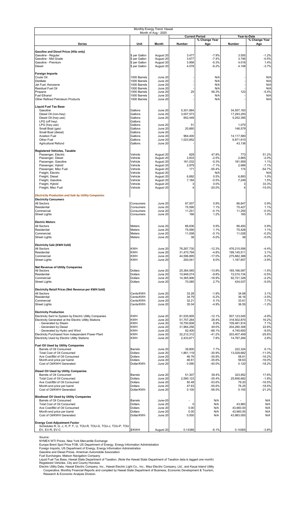| Monthly Energy Trend: Hawaii<br>Month of Aug - 2020                                                 |                                |                        |                          |                                        |                            |                               |  |
|-----------------------------------------------------------------------------------------------------|--------------------------------|------------------------|--------------------------|----------------------------------------|----------------------------|-------------------------------|--|
|                                                                                                     |                                |                        |                          | <b>Current Period</b><br>% Change Year |                            | Year-to-Date<br>% Change Year |  |
| <b>Series</b>                                                                                       | Unit                           | Month                  | <b>Number</b>            | Ago                                    | Number                     | Ago                           |  |
| <b>Gasoline and Diesel Prices (Hilo only)</b>                                                       |                                |                        |                          |                                        |                            |                               |  |
| Gasoline - Regular<br>Gasoline - Mid Grade                                                          | \$ per Gallon<br>\$ per Gallon | August 20<br>August 20 | 3.477<br>3.677           | $-7.9%$<br>$-7.4%$                     | 3.555<br>3.746             | $-1.2%$<br>$-0.5%$            |  |
| Gasoline - Premium                                                                                  | \$ per Gallon                  | August 20              | 3.956                    | $-5.3%$                                | 4.016                      | 1.4%                          |  |
| Diesel                                                                                              | \$ per Gallon                  | August 20              | 4.078                    | $-6.2%$                                | 4.148                      | $-3.7%$                       |  |
| Foreign Imports<br>Crude Oil                                                                        | 1000 Barrels                   | June 20                |                          | N/A                                    |                            | N/A                           |  |
| <b>Distillate</b>                                                                                   | 1000 Barrels                   | June 20                |                          | N/A                                    |                            | N/A                           |  |
| Jet Fuel, Kerosene<br>Residual Fuel Oil                                                             | 1000 Barrels<br>1000 Barrels   | June 20<br>June 20     |                          | N/A<br>N/A                             |                            | N/A<br>N/A                    |  |
| Propane<br><b>Fuel Ethanol</b>                                                                      | 1000 Barrels<br>1000 Barrels   | June 20<br>June 20     | 25                       | 56.3%<br>N/A                           | 123                        | $-5.4%$<br>N/A                |  |
| Other Refined Petroleum Products                                                                    | 1000 Barrels                   | June 20                |                          | N/A                                    |                            | N/A                           |  |
| <b>Liquid Fuel Tax Base</b>                                                                         |                                |                        |                          |                                        |                            |                               |  |
| Gasoline<br>Diesel Oil (non-hwy)                                                                    | Gallons<br>Gallons             | June 20<br>June 20     | 5,301,664<br>3,007,573   |                                        | 34,557,183<br>17,293,250   |                               |  |
| Diesel Oil (hwy use)                                                                                | Gallons                        | June 20                | 852,449                  |                                        | 5,252,395                  |                               |  |
| LPG (off hwy)<br>LPG (hwy use)                                                                      | Gallons<br>Gallons             | June 20                | 51                       |                                        | 1,070                      |                               |  |
| Small Boat (gas)<br>Small Boat (diesel)                                                             | Gallons<br>Gallons             | June 20<br>June 20     | 20,660                   |                                        | 146,579                    |                               |  |
| <b>Aviation Fuel</b>                                                                                | Gallons                        | June 20                | 964,400                  |                                        | 14,117,580                 |                               |  |
| Other Fuel<br>Agricultural Refund                                                                   | Gallons<br>Gallons             | June 20<br>June 20     | 1,023,852                |                                        | 6,871,610<br>43,136        |                               |  |
| <b>Registered Vehicles, Taxable</b>                                                                 |                                |                        |                          |                                        |                            |                               |  |
| Passenger, Electric                                                                                 | Vehicle                        | August 20              | 829                      | 47.8%                                  | 773                        | 51.2%                         |  |
| Passenger, Diesel<br>Passenger, Gasoline                                                            | Vehicle<br>Vehicle             | August 20<br>August 20 | 2,833<br>181,032         | $-2.5%$<br>$-0.3%$                     | 2,865<br>181,959           | $-2.0%$<br>1.1%               |  |
| Passenger, Hybrid<br>Passenger, Misc Fuel                                                           | Vehicle<br>Vehicle             | August 20<br>August 20 | 2,979<br>171             | $-7.1%$<br>$-55.4%$                    | 2,996<br>174               | $-7.1%$<br>$-54.7%$           |  |
| Freight, Electric                                                                                   | Vehicle                        | August 20              |                          | N/A                                    |                            | N/A                           |  |
| Freight, Diesel<br>Freight, Gasoline                                                                | Vehicle<br>Vehicle             | August 20<br>August 20 | 6,892<br>7,184           | 0.5%<br>$-0.5%$                        | 6,893<br>7,249             | 1.0%<br>1.5%                  |  |
| Freight, Hybrid                                                                                     | Vehicle                        | August 20              | 3                        | 0.0%                                   | 3                          | 33.3%                         |  |
| Freight, Misc Fuel                                                                                  | Vehicle                        | August 20              | 4                        | $-20.0%$                               | 4                          | $-15.0%$                      |  |
| <b>Electricity Production and Sale by Utility Companies</b><br><b>Electricity Consumers</b>         |                                |                        |                          |                                        |                            |                               |  |
| All Sectors                                                                                         | Consumers                      | June 20                | 87,007                   | 0.9%                                   | 86,847                     | 0.9%                          |  |
| Residential<br>Commercial                                                                           | Consumers<br>Consumers         | June 20<br>June 20     | 75,590<br>11,251         | 1.1%<br>$-0.1%$                        | 75,427<br>11,255           | 1.1%<br>$-0.3%$               |  |
| <b>Street Lights</b>                                                                                | Consumers                      | June 20                | 166                      | 1.2%                                   | 165                        | 1.0%                          |  |
| <b>Electric Meters</b>                                                                              |                                |                        |                          |                                        |                            |                               |  |
| All Sectors<br>Residential                                                                          | Meters<br>Meters               | June 20<br>June 20     | 86,636<br>75,590         | 0.9%<br>1.1%                           | 86,493<br>75,428           | 0.9%<br>1.1%                  |  |
| Commercial                                                                                          | Meters                         | June 20                | 11,008                   | $-0.1%$                                | 11,028                     | $-0.2%$                       |  |
| <b>Street Lights</b>                                                                                | Meters                         | June 20                | 38                       | $-5.0%$                                | 38                         | $-5.0%$                       |  |
| <b>Electricity Sale (KWH Sold)</b>                                                                  |                                |                        | 76,267,730               |                                        |                            |                               |  |
| All Sectors<br>Residential                                                                          | <b>KWH</b><br>KWH              | June 20<br>June 20     | 31,470,794               | $-12.3%$<br>$-4.8%$                    | 476,215,556<br>199,145,511 | $-4.4%$<br>3.1%               |  |
| Commercial<br><b>Street Lights</b>                                                                  | <b>KWH</b><br><b>KWH</b>       | June 20<br>June 20     | 44,596,895<br>200,041    | $-17.0%$<br>8.0%                       | 275,882,388<br>1.187.657   | $-9.2%$<br>$-3.9%$            |  |
| <b>Net Revenue of Utility Companies</b>                                                             |                                |                        |                          |                                        |                            |                               |  |
| All Sectors                                                                                         | Dollars                        | June 20                | 25,384,065               | $-13.9%$                               | 165, 166, 097              | $-1.5%$                       |  |
| Residential<br>Commercial                                                                           | Dollars<br>Dollars             | June 20<br>June 20     | 10,948,074<br>14,365,906 | $-9.8%$<br>$-16.9%$                    | 72,010,734<br>92,721,326   | $-0.5%$<br>$-2.2%$            |  |
| <b>Street Lights</b>                                                                                | Dollars                        | June 20                | 70,085                   | 2.7%                                   | 434,037                    | $-5.0%$                       |  |
| Electricity Retail Prices (Net Revenue per KWH Sold)                                                |                                |                        |                          |                                        |                            |                               |  |
| All Sectors<br>Residential                                                                          | Cents/KWh<br>Cents/KWh         | June 20<br>June 20     | 33.28<br>34.79           | $-1.9%$<br>$-5.2%$                     | 34.68<br>36.16             | 3.1%<br>$-3.5%$               |  |
| Commercial                                                                                          | Cents/KWh                      | June 20                | 32.21                    | 0.1%                                   | 33.61                      | 7.7%                          |  |
| <b>Street Lights</b>                                                                                | Cents/KWh                      | June 20                | 35.04                    | $-4.9%$                                | 36.55                      | $-1.2%$                       |  |
| <b>Electricity Production</b><br>Electricity Sent to System by Electric Utility Companies           | <b>KWH</b>                     | June 20                | 81,535,905               | $-12.1%$                               | 507,123,045                | $-4.9%$                       |  |
| Electricity Generated at the Electric Utility Stations                                              | <b>KWH</b>                     | June 20                | 51,757,264               | 28.4%                                  | 318,502,870                | 16.2%                         |  |
| - Generated by Steam<br>- Generated by Diesel                                                       | <b>KWH</b><br><b>KWH</b>       | June 20<br>June 20     | 19,700,608<br>31,964,256 | 8.9%<br>49.0%                          | 109,481,914<br>204,280,306 | 7.1%<br>22.6%                 |  |
| - Generated by Hydro and Wind                                                                       | <b>KWH</b>                     | June 20                | 92,400                   | $-88.1%$                               | 4,740,650                  | $-9.5%$                       |  |
| Electricity Purchased from Independent Power Plant<br>Electricity Used by Electric Utility Stations | <b>KWH</b><br><b>KWH</b>       | June 20<br>June 20     | 32,212,312<br>2,433,671  | $-41.2%$<br>7.8%                       | 203,407,459<br>14,787,284  | $-25.6%$<br>2.8%              |  |
| Fuel Oil Used by Utility Companies                                                                  |                                |                        |                          |                                        |                            |                               |  |
| Barrels of Oil Consumed                                                                             | Barrels                        | June 20                | 39,800                   | 7.7%                                   | 222,324                    | 6.1%                          |  |
| Total Cost of Oil Consumed<br>Ave Cost/Bbl of Oil Consumed                                          | <b>Dollars</b><br>Dollars      | June 20<br>June 20     | 1,861,119<br>46.76       | $-30.9%$<br>$-35.8%$                   | 13,029,682<br>58.61        | $-11.0%$<br>$-16.2%$          |  |
| Month-end price per barrel<br>Cost of Oil/KWH Generated                                             | <b>Dollars</b><br>Dollar/KWh   | June 20<br>June 20     | 46.61<br>0.090           | $-35.6%$<br>$-40.0%$                   | 58.63<br>0.120             | $-16.0%$<br>$-18.2%$          |  |
|                                                                                                     |                                |                        |                          |                                        |                            |                               |  |
| Diesel Oil Used by Utility Companies<br>Barrels of Oil Consumed                                     | <b>Barrels</b>                 | June 20                | 51,307                   | 39.4%                                  | 323,952                    | 17.6%                         |  |
| Total Cost of Oil Consumed<br>Ave Cost/Bbl of Oil Consumed                                          | <b>Dollars</b><br>Dollars      | June 20<br>June 20     | 2,590,123<br>50.48       | $-35.4%$<br>$-53.6%$                   | 25,656,682<br>79.20        | $-1.8%$<br>$-16.5%$           |  |
| Month-end price per barrel                                                                          | <b>Dollars</b>                 | June 20                | 47.63                    | $-55.6%$                               | 76.25                      | $-18.5%$                      |  |
| Cost of Oil/KWH Generated                                                                           | Dollar/KWh                     | June 20                | 0.100                    | $-56.5%$                               | 0.155                      | $-21.2%$                      |  |
| <b>Biodiesel Oil Used by Utility Companies</b><br>Barrels of Oil Consumed                           | Barrels                        | June-20                |                          | N/A                                    |                            | N/A                           |  |
| <b>Total Cost of Oil Consumed</b>                                                                   | <b>Dollars</b>                 | June 20                | 0                        | N/A                                    | 43,983                     | N/A                           |  |
| Ave Cost/Bbl of Oil Consumed<br>Month-end price per barrel                                          | Dollars<br><b>Dollars</b>      | June 20<br>June 20     | 0.00<br>0.00             | N/A<br>N/A                             | 43,983.00<br>43,983.00     | N/A<br>N/A                    |  |
| Cost of Oil/KWH Generated                                                                           | Dollar/KWh                     | June 20                | 0.000                    | N/A                                    | 43,983.000                 | N/A                           |  |
| <b>Energy Cost Adjustment Factor</b>                                                                |                                |                        |                          |                                        |                            |                               |  |
| Schedules R, G, J, H, P, F, U, TOU-R, TOU-G, TOU-J, TOU-P, TOU<br>EV, EV-R, EV-C                    | \$/KWH                         | August 20              | 0.14389                  | $-6.1%$                                | 0.14365                    | -3.8%                         |  |